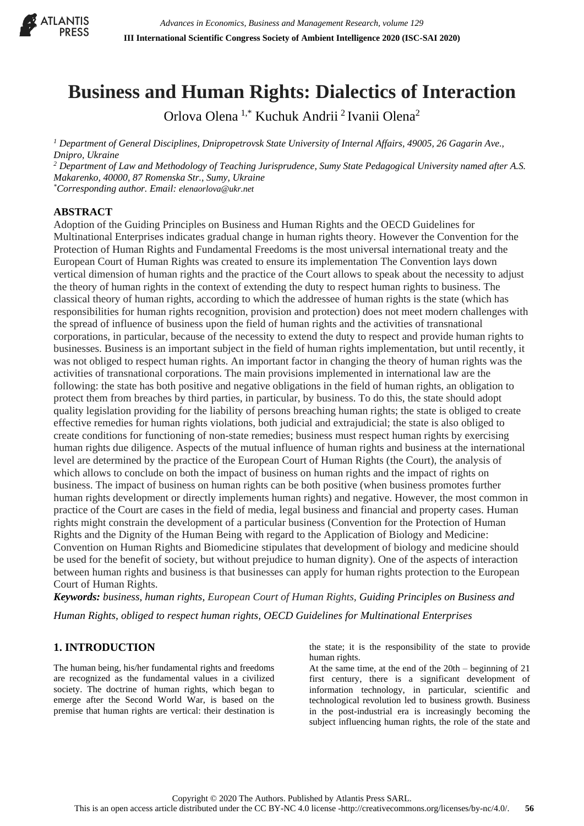

# **Business and Human Rights: Dialectics of Interaction**

Orlova Olena 1,\* Kuchuk Andrii <sup>2</sup>Ivanii Olena<sup>2</sup>

*<sup>1</sup> Department of General Disciplines, Dnipropetrovsk State University of Internal Affairs, 49005, 26 Gagarin Ave., Dnipro, Ukraine*

*<sup>2</sup> Department of Law and Methodology of Teaching Jurisprudence, Sumy State Pedagogical University named after A.S. Makarenko, 40000, 87 Romenska Str., Sumy, Ukraine*

*\*Corresponding author. Email: elenaorlova@ukr.net*

#### **ABSTRACT**

Adoption of the Guiding Principles on Business and Human Rights and the OECD Guidelines for Multinational Enterprises indicates gradual change in human rights theory. However the Convention for the Protection of Human Rights and Fundamental Freedoms is the most universal international treaty and the European Court of Human Rights was created to ensure its implementation The Convention lays down vertical dimension of human rights and the practice of the Court allows to speak about the necessity to adjust the theory of human rights in the context of extending the duty to respect human rights to business. The classical theory of human rights, according to which the addressee of human rights is the state (which has responsibilities for human rights recognition, provision and protection) does not meet modern challenges with the spread of influence of business upon the field of human rights and the activities of transnational corporations, in particular, because of the necessity to extend the duty to respect and provide human rights to businesses. Business is an important subject in the field of human rights implementation, but until recently, it was not obliged to respect human rights. An important factor in changing the theory of human rights was the activities of transnational corporations. The main provisions implemented in international law are the following: the state has both positive and negative obligations in the field of human rights, an obligation to protect them from breaches by third parties, in particular, by business. To do this, the state should adopt quality legislation providing for the liability of persons breaching human rights; the state is obliged to create effective remedies for human rights violations, both judicial and extrajudicial; the state is also obliged to create conditions for functioning of non-state remedies; business must respect human rights by exercising human rights due diligence. Aspects of the mutual influence of human rights and business at the international level are determined by the practice of the European Court of Human Rights (the Court), the analysis of which allows to conclude on both the impact of business on human rights and the impact of rights on business. The impact of business on human rights can be both positive (when business promotes further human rights development or directly implements human rights) and negative. However, the most common in practice of the Court are cases in the field of media, legal business and financial and property cases. Human rights might constrain the development of a particular business (Convention for the Protection of Human Rights and the Dignity of the Human Being with regard to the Application of Biology and Medicine: Convention on Human Rights and Biomedicine stipulates that development of biology and medicine should be used for the benefit of society, but without prejudice to human dignity). One of the aspects of interaction between human rights and business is that businesses can apply for human rights protection to the European Court of Human Rights.

*Keywords: business, human rights, European Court of Human Rights, Guiding Principles on Business and Human Rights, obliged to respect human rights, OECD Guidelines for Multinational Enterprises*

## **1. INTRODUCTION**

The human being, his/her fundamental rights and freedoms are recognized as the fundamental values in a civilized society. The doctrine of human rights, which began to emerge after the Second World War, is based on the premise that human rights are vertical: their destination is the state; it is the responsibility of the state to provide human rights.

At the same time, at the end of the 20th – beginning of 21 first century, there is a significant development of information technology, in particular, scientific and technological revolution led to business growth. Business in the post-industrial era is increasingly becoming the subject influencing human rights, the role of the state and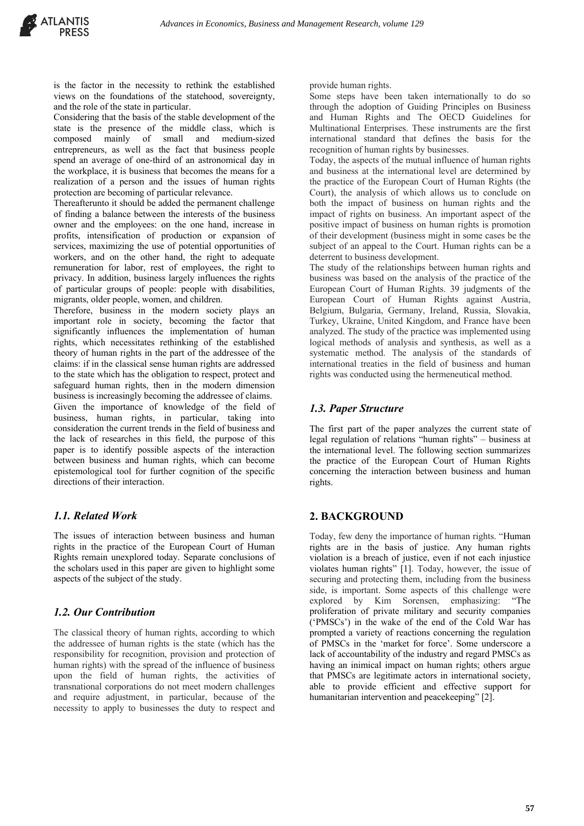is the factor in the necessity to rethink the established views on the foundations of the statehood, sovereignty, and the role of the state in particular.

Considering that the basis of the stable development of the state is the presence of the middle class, which is composed mainly of small and medium-sized entrepreneurs, as well as the fact that business people spend an average of one-third of an astronomical day in the workplace, it is business that becomes the means for a realization of a person and the issues of human rights protection are becoming of particular relevance.

Thereafterunto it should be added the permanent challenge of finding a balance between the interests of the business owner and the employees: on the one hand, increase in profits, intensification of production or expansion of services, maximizing the use of potential opportunities of workers, and on the other hand, the right to adequate remuneration for labor, rest of employees, the right to privacy. In addition, business largely influences the rights of particular groups of people: people with disabilities, migrants, older people, women, and children.

Therefore, business in the modern society plays an important role in society, becoming the factor that significantly influences the implementation of human rights, which necessitates rethinking of the established theory of human rights in the part of the addressee of the claims: if in the classical sense human rights are addressed to the state which has the obligation to respect, protect and safeguard human rights, then in the modern dimension business is increasingly becoming the addressee of claims. Given the importance of knowledge of the field of business, human rights, in particular, taking into consideration the current trends in the field of business and the lack of researches in this field, the purpose of this paper is to identify possible aspects of the interaction between business and human rights, which can become epistemological tool for further cognition of the specific directions of their interaction.

#### *1.1. Related Work*

The issues of interaction between business and human rights in the practice of the European Court of Human Rights remain unexplored today. Separate conclusions of the scholars used in this paper are given to highlight some aspects of the subject of the study.

#### *1.2. Our Contribution*

The classical theory of human rights, according to which the addressee of human rights is the state (which has the responsibility for recognition, provision and protection of human rights) with the spread of the influence of business upon the field of human rights, the activities of transnational corporations do not meet modern challenges and require adjustment, in particular, because of the necessity to apply to businesses the duty to respect and

provide human rights.

Some steps have been taken internationally to do so through the adoption of Guiding Principles on Business and Human Rights and The OECD Guidelines for Multinational Enterprises. These instruments are the first international standard that defines the basis for the recognition of human rights by businesses.

Today, the aspects of the mutual influence of human rights and business at the international level are determined by the practice of the European Court of Human Rights (the Court), the analysis of which allows us to conclude on both the impact of business on human rights and the impact of rights on business. An important aspect of the positive impact of business on human rights is promotion of their development (business might in some cases be the subject of an appeal to the Court. Human rights can be a deterrent to business development.

The study of the relationships between human rights and business was based on the analysis of the practice of the European Court of Human Rights. 39 judgments of the European Court of Human Rights against Austria, Belgium, Bulgaria, Germany, Ireland, Russia, Slovakia, Turkey, Ukraine, United Kingdom, and France have been analyzed. The study of the practice was implemented using logical methods of analysis and synthesis, as well as a systematic method. The analysis of the standards of international treaties in the field of business and human rights was conducted using the hermeneutical method.

### *1.3. Paper Structure*

The first part of the paper analyzes the current state of legal regulation of relations "human rights" – business at the international level. The following section summarizes the practice of the European Court of Human Rights concerning the interaction between business and human rights.

#### **2. BACKGROUND**

Today, few deny the importance of human rights. "Human rights are in the basis of justice. Any human rights violation is a breach of justice, even if not each injustice violates human rights" [1]. Today, however, the issue of securing and protecting them, including from the business side, is important. Some aspects of this challenge were explored by Kim Sorensen, emphasizing: "The proliferation of private military and security companies ('PMSCs') in the wake of the end of the Cold War has prompted a variety of reactions concerning the regulation of PMSCs in the 'market for force'. Some underscore a lack of accountability of the industry and regard PMSCs as having an inimical impact on human rights; others argue that PMSCs are legitimate actors in international society, able to provide efficient and effective support for humanitarian intervention and peacekeeping" [2].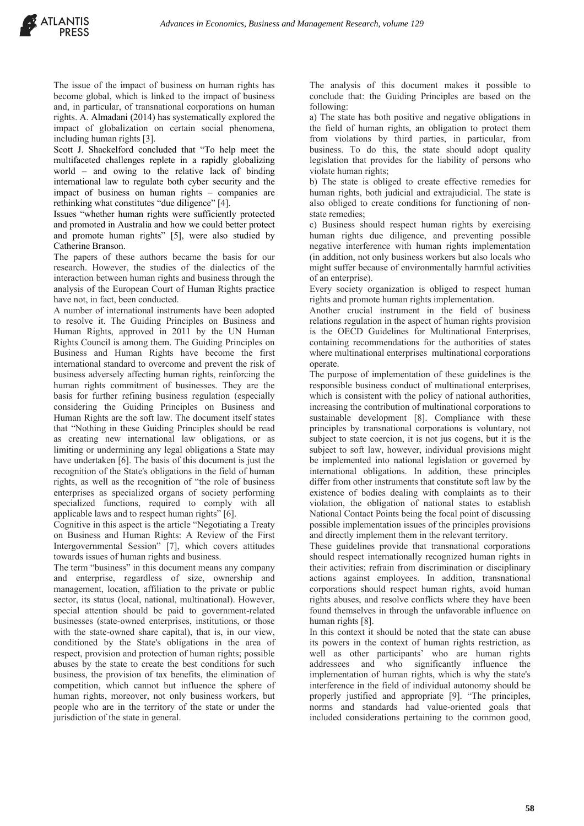The issue of the impact of business on human rights has become global, which is linked to the impact of business and, in particular, of transnational corporations on human rights. A. Almadani (2014) has systematically explored the impact of globalization on certain social phenomena, including human rights [3].

Scott J. Shackelford concluded that "To help meet the multifaceted challenges replete in a rapidly globalizing world – and owing to the relative lack of binding international law to regulate both cyber security and the impact of business on human rights – companies are rethinking what constitutes "due diligence" [4].

Issues "whether human rights were sufficiently protected and promoted in Australia and how we could better protect and promote human rights" [5], were also studied by Catherine Branson.

The papers of these authors became the basis for our research. However, the studies of the dialectics of the interaction between human rights and business through the analysis of the European Court of Human Rights practice have not, in fact, been conducted.

A number of international instruments have been adopted to resolve it. The Guiding Principles on Business and Human Rights, approved in 2011 by the UN Human Rights Council is among them. The Guiding Principles on Business and Human Rights have become the first international standard to overcome and prevent the risk of business adversely affecting human rights, reinforcing the human rights commitment of businesses. They are the basis for further refining business regulation (especially considering the Guiding Principles on Business and Human Rights are the soft law. The document itself states that "Nothing in these Guiding Principles should be read as creating new international law obligations, or as limiting or undermining any legal obligations a State may have undertaken [6]. The basis of this document is just the recognition of the State's obligations in the field of human rights, as well as the recognition of "the role of business enterprises as specialized organs of society performing specialized functions, required to comply with all applicable laws and to respect human rights" [6].

Cognitive in this aspect is the article "Negotiating a Treaty on Business and Human Rights: A Review of the First Intergovernmental Session" [7], which covers attitudes towards issues of human rights and business.

The term "business" in this document means any company and enterprise, regardless of size, ownership and management, location, affiliation to the private or public sector, its status (local, national, multinational). However, special attention should be paid to government-related businesses (state-owned enterprises, institutions, or those with the state-owned share capital), that is, in our view, conditioned by the State's obligations in the area of respect, provision and protection of human rights; possible abuses by the state to create the best conditions for such business, the provision of tax benefits, the elimination of competition, which cannot but influence the sphere of human rights, moreover, not only business workers, but people who are in the territory of the state or under the jurisdiction of the state in general.

The analysis of this document makes it possible to conclude that: the Guiding Principles are based on the following:

a) The state has both positive and negative obligations in the field of human rights, an obligation to protect them from violations by third parties, in particular, from business. To do this, the state should adopt quality legislation that provides for the liability of persons who violate human rights;

b) The state is obliged to create effective remedies for human rights, both judicial and extrajudicial. The state is also obliged to create conditions for functioning of nonstate remedies;

c) Business should respect human rights by exercising human rights due diligence, and preventing possible negative interference with human rights implementation (in addition, not only business workers but also locals who might suffer because of environmentally harmful activities of an enterprise).

Every society organization is obliged to respect human rights and promote human rights implementation.

Another crucial instrument in the field of business relations regulation in the aspect of human rights provision is the OECD Guidelines for Multinational Enterprises, containing recommendations for the authorities of states where multinational enterprises multinational corporations operate.

The purpose of implementation of these guidelines is the responsible business conduct of multinational enterprises, which is consistent with the policy of national authorities, increasing the contribution of multinational corporations to sustainable development [8]. Compliance with these principles by transnational corporations is voluntary, not subject to state coercion, it is not jus cogens, but it is the subject to soft law, however, individual provisions might be implemented into national legislation or governed by international obligations. In addition, these principles differ from other instruments that constitute soft law by the existence of bodies dealing with complaints as to their violation, the obligation of national states to establish National Contact Points being the focal point of discussing possible implementation issues of the principles provisions and directly implement them in the relevant territory.

These guidelines provide that transnational corporations should respect internationally recognized human rights in their activities; refrain from discrimination or disciplinary actions against employees. In addition, transnational corporations should respect human rights, avoid human rights abuses, and resolve conflicts where they have been found themselves in through the unfavorable influence on human rights [8].

In this context it should be noted that the state can abuse its powers in the context of human rights restriction, as well as other participants' who are human rights addressees and who significantly influence the implementation of human rights, which is why the state's interference in the field of individual autonomy should be properly justified and appropriate [9]. "The principles, norms and standards had value-oriented goals that included considerations pertaining to the common good,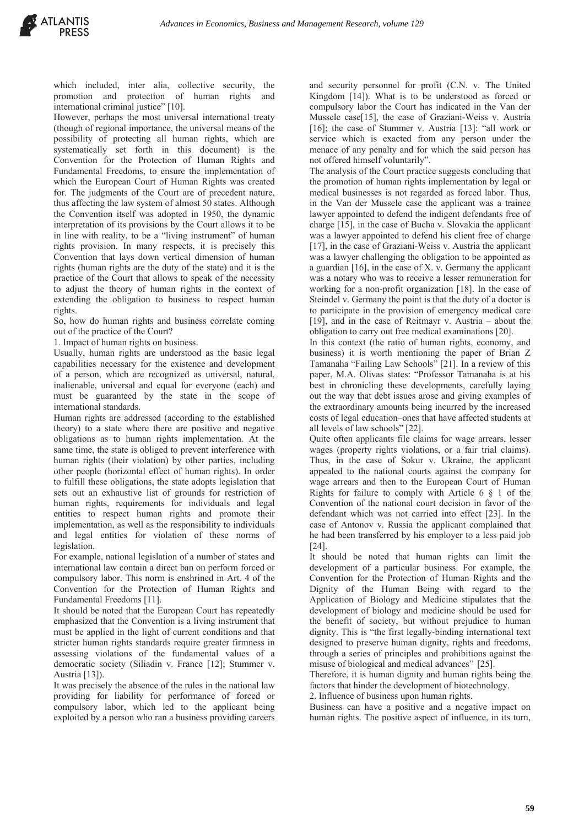which included, inter alia, collective security, the promotion and protection of human rights and international criminal justice" [10].

However, perhaps the most universal international treaty (though of regional importance, the universal means of the possibility of protecting all human rights, which are systematically set forth in this document) is the Convention for the Protection of Human Rights and Fundamental Freedoms, to ensure the implementation of which the European Court of Human Rights was created for. The judgments of the Court are of precedent nature, thus affecting the law system of almost 50 states. Although the Convention itself was adopted in 1950, the dynamic interpretation of its provisions by the Court allows it to be in line with reality, to be a "living instrument" of human rights provision. In many respects, it is precisely this Convention that lays down vertical dimension of human rights (human rights are the duty of the state) and it is the practice of the Court that allows to speak of the necessity to adjust the theory of human rights in the context of extending the obligation to business to respect human rights.

So, how do human rights and business correlate coming out of the practice of the Court?

1. Impact of human rights on business.

Usually, human rights are understood as the basic legal capabilities necessary for the existence and development of a person, which are recognized as universal, natural, inalienable, universal and equal for everyone (each) and must be guaranteed by the state in the scope of international standards.

Human rights are addressed (according to the established theory) to a state where there are positive and negative obligations as to human rights implementation. At the same time, the state is obliged to prevent interference with human rights (their violation) by other parties, including other people (horizontal effect of human rights). In order to fulfill these obligations, the state adopts legislation that sets out an exhaustive list of grounds for restriction of human rights, requirements for individuals and legal entities to respect human rights and promote their implementation, as well as the responsibility to individuals and legal entities for violation of these norms of legislation.

For example, national legislation of a number of states and international law contain a direct ban on perform forced or compulsory labor. This norm is enshrined in Art. 4 of the Convention for the Protection of Human Rights and Fundamental Freedoms [11].

It should be noted that the European Court has repeatedly emphasized that the Convention is a living instrument that must be applied in the light of current conditions and that stricter human rights standards require greater firmness in assessing violations of the fundamental values of a democratic society (Siliadin v. France [12]; Stummer v. Austria [13]).

It was precisely the absence of the rules in the national law providing for liability for performance of forced or compulsory labor, which led to the applicant being exploited by a person who ran a business providing careers and security personnel for profit (C.N. v. The United Kingdom [14]). What is to be understood as forced or compulsory labor the Court has indicated in the Van der Mussele case[15], the case of Graziani-Weiss v. Austria [16]; the case of Stummer v. Austria [13]: "all work or service which is exacted from any person under the menace of any penalty and for which the said person has not offered himself voluntarily".

The analysis of the Court practice suggests concluding that the promotion of human rights implementation by legal or medical businesses is not regarded as forced labor. Thus, in the Van der Mussele case the applicant was a trainee lawyer appointed to defend the indigent defendants free of charge [15], in the case of Bucha v. Slovakia the applicant was a lawyer appointed to defend his client free of charge [17], in the case of Graziani-Weiss v. Austria the applicant was a lawyer challenging the obligation to be appointed as a guardian [16], in the case of X. v. Germany the applicant was a notary who was to receive a lesser remuneration for working for a non-profit organization [18]. In the case of Steindel v. Germany the point is that the duty of a doctor is to participate in the provision of emergency medical care [19], and in the case of Reitmayr v. Austria – about the obligation to carry out free medical examinations [20].

In this context (the ratio of human rights, economy, and business) it is worth mentioning the paper of Brian Z Tamanaha "Failing Law Schools" [21]. In a review of this paper, М.A. Olivas states: "Professor Tamanaha is at his best in chronicling these developments, carefully laying out the way that debt issues arose and giving examples of the extraordinary amounts being incurred by the increased costs of legal education–ones that have affected students at all levels of law schools" [22].

Quite often applicants file claims for wage arrears, lesser wages (property rights violations, or a fair trial claims). Thus, in the case of Sokur v. Ukraine, the applicant appealed to the national courts against the company for wage arrears and then to the European Court of Human Rights for failure to comply with Article  $6 \& 1$  of the Convention of the national court decision in favor of the defendant which was not carried into effect [23]. In the case of Antonov v. Russia the applicant complained that he had been transferred by his employer to a less paid job [24].

It should be noted that human rights can limit the development of a particular business. For example, the Convention for the Protection of Human Rights and the Dignity of the Human Being with regard to the Application of Biology and Medicine stipulates that the development of biology and medicine should be used for the benefit of society, but without prejudice to human dignity. This is "the first legally-binding international text designed to preserve human dignity, rights and freedoms, through a series of principles and prohibitions against the misuse of biological and medical advances" [25].

Therefore, it is human dignity and human rights being the factors that hinder the development of biotechnology.

2. Influence of business upon human rights.

Business can have a positive and a negative impact on human rights. The positive aspect of influence, in its turn,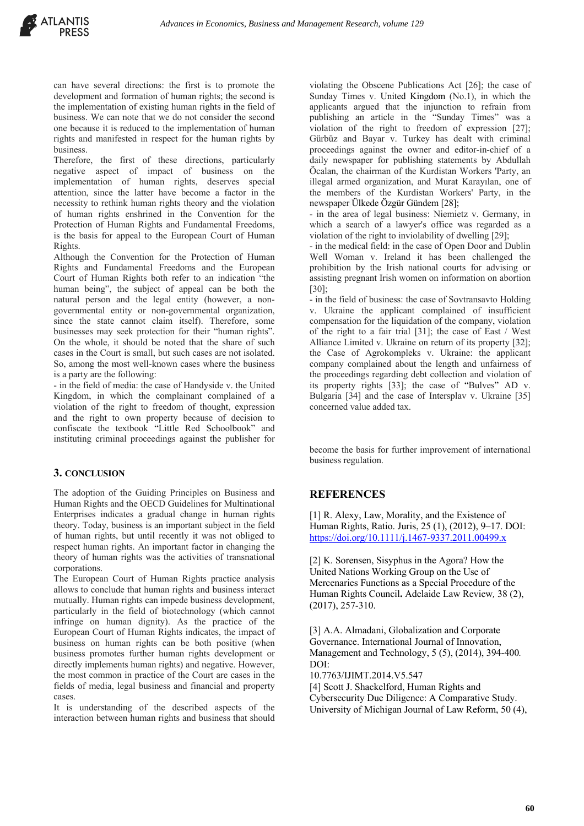can have several directions: the first is to promote the development and formation of human rights; the second is the implementation of existing human rights in the field of business. We can note that we do not consider the second one because it is reduced to the implementation of human rights and manifested in respect for the human rights by business.

Therefore, the first of these directions, particularly negative aspect of impact of business on the implementation of human rights, deserves special attention, since the latter have become a factor in the necessity to rethink human rights theory and the violation of human rights enshrined in the Convention for the Protection of Human Rights and Fundamental Freedoms, is the basis for appeal to the European Court of Human Rights.

Although the Convention for the Protection of Human Rights and Fundamental Freedoms and the European Court of Human Rights both refer to an indication "the human being", the subject of appeal can be both the natural person and the legal entity (however, a nongovernmental entity or non-governmental organization, since the state cannot claim itself). Therefore, some businesses may seek protection for their "human rights". On the whole, it should be noted that the share of such cases in the Court is small, but such cases are not isolated. So, among the most well-known cases where the business is a party are the following:

- in the field of media: the case of Handyside v. the United Kingdom, in which the complainant complained of a violation of the right to freedom of thought, expression and the right to own property because of decision to confiscate the textbook "Little Red Schoolbook" and instituting criminal proceedings against the publisher for

#### **3. CONCLUSION**

The adoption of the Guiding Principles on Business and Human Rights and the OECD Guidelines for Multinational Enterprises indicates a gradual change in human rights theory. Today, business is an important subject in the field of human rights, but until recently it was not obliged to respect human rights. An important factor in changing the theory of human rights was the activities of transnational corporations.

The European Court of Human Rights practice analysis allows to conclude that human rights and business interact mutually. Human rights can impede business development, particularly in the field of biotechnology (which cannot infringe on human dignity). As the practice of the European Court of Human Rights indicates, the impact of business on human rights can be both positive (when business promotes further human rights development or directly implements human rights) and negative. However, the most common in practice of the Court are cases in the fields of media, legal business and financial and property cases.

It is understanding of the described aspects of the interaction between human rights and business that should violating the Obscene Publications Act [26]; the case of Sunday Times v. United Kingdom (No.1), in which the applicants argued that the injunction to refrain from publishing an article in the "Sunday Times" was a violation of the right to freedom of expression [27]; Gürbüz and Bayar v. Turkey has dealt with criminal proceedings against the owner and editor-in-chief of a daily newspaper for publishing statements by Abdullah Öcalan, the chairman of the Kurdistan Workers 'Party, an illegal armed organization, and Murat Karayılan, one of the members of the Kurdistan Workers' Party, in the newspaper Ülkede Özgür Gündem [28];

- in the area of legal business: Niemietz v. Germany, in which a search of a lawyer's office was regarded as a violation of the right to inviolability of dwelling [29];

- in the medical field: in the case of Open Door and Dublin Well Woman v. Ireland it has been challenged the prohibition by the Irish national courts for advising or assisting pregnant Irish women on information on abortion [30];

- in the field of business: the case of Sovtransavto Holding v. Ukraine the applicant complained of insufficient compensation for the liquidation of the company, violation of the right to a fair trial [31]; the case of East / West Alliance Limited v. Ukraine on return of its property [32]; the Case of Agrokompleks v. Ukraine: the applicant company complained about the length and unfairness of the proceedings regarding debt collection and violation of its property rights [33]; the case of "Bulves" AD v. Bulgaria [34] and the case of Intersplav v. Ukraine [35] concerned value added tax.

become the basis for further improvement of international business regulation.

#### **REFERENCES**

[1] R. Alexy, Law, Morality, and the Existence of Human Rights, Ratio. Juris, 25 (1), (2012), 9–17. DOI: https://doi.org/10.1111/j.1467-9337.2011.00499.x

[2] K. Sorensen, Sisyphus in the Agora? How the United Nations Working Group on the Use of Mercenaries Functions as a Special Procedure of the Human Rights Council**.** Adelaide Law Review*,* 38 (2), (2017), 257-310.

[3] A.A. Almadani, Globalization and Corporate Governance. International Journal of Innovation, Management and Technology, 5 (5), (2014), 394-400*.* DOI:

10.7763/IJIMT.2014.V5.547

[4] Scott J. Shackelford, Human Rights and Cybersecurity Due Diligence: A Comparative Study.

University of Michigan Journal of Law Reform, 50 (4),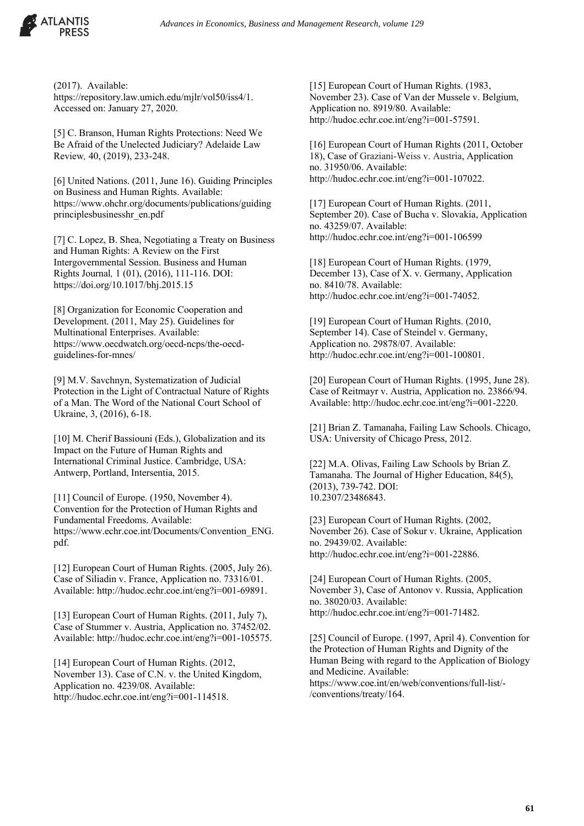

(2017). Available: https://repository.law.umich.edu/mjlr/vol50/iss4/1. Accessed on: January 27, 2020.

[5] C. Branson, Human Rights Protections: Need We Be Afraid of the Unelected Judiciary? Adelaide Law Review*,* 40, (2019), 233-248.

[6] United Nations. (2011, June 16). Guiding Principles on Business and Human Rights. Available: https://www.ohchr.org/documents/publications/guiding principlesbusinesshr\_en.pdf

[7] С. Lopez, В. Shea, Negotiating а Treaty оn Business аnd Human Rights: А Review оn the First Intergovernmental Session. Business апd Human Rights Journal*,* 1 (01), (2016), 111-116. DOI: https://doi.org/10.1017/bhj.2015.15

[8] Organization for Economic Cooperation and Development. (2011, May 25). Guidelines for Multinational Enterprises. Available: https://www.oecdwatch.org/oecd-ncps/the-oecdguidelines-for-mnes/

[9] M.V. Savchnyn, Systematization of Judicial Protection in the Light of Contractual Nature of Rights of a Man. The Word of the National Court School of Ukraine, 3, (2016), 6-18.

[10] M. Cherif Bassiouni (Eds.), Globalization and its Impact on the Future of Human Rights and International Criminal Justice. Cambridge, USA: Antwerp, Portland, Intersentia, 2015.

[11] Council of Europe. (1950, November 4). Convention for the Protection of Human Rights and Fundamental Freedoms. Available: https://www.echr.coe.int/Documents/Convention\_ENG. pdf.

[12] European Court of Human Rights. (2005, July 26). Case of Siliadin v. France, Application no. 73316/01. Available: http://hudoc.echr.coe.int/eng?i=001-69891.

[13] European Court of Human Rights. (2011, July 7), Case of Stummer v. Austria, Application no. 37452/02. Available: http://hudoc.echr.coe.int/eng?i=001-105575.

[14] European Court of Human Rights. (2012, November 13). Case of C.N. v. the United Kingdom, Application no. 4239/08. Available: http://hudoc.echr.coe.int/eng?i=001-114518.

[15] European Court of Human Rights. (1983, November 23). Case of Van der Mussele v. Belgium, Application no. 8919/80. Available: http://hudoc.echr.coe.int/eng?i=001-57591.

[16] European Court of Human Rights (2011, October 18), Case of Graziani-Weiss v. Austria, Application no. 31950/06. Available: http://hudoc.echr.coe.int/eng?i=001-107022.

[17] European Court of Human Rights. (2011, September 20). Case of Bucha v. Slovakia, Application no. 43259/07. Available: http://hudoc.echr.coe.int/eng?i=001-106599

[18] European Court of Human Rights. (1979, December 13), Case of X. v. Germany, Application no. 8410/78. Available: http://hudoc.echr.coe.int/eng?i=001-74052.

[19] European Court of Human Rights. (2010, September 14). Case of Steindel v. Germany, Application no. 29878/07. Available: http://hudoc.echr.coe.int/eng?i=001-100801.

[20] European Court of Human Rights. (1995, June 28). Case of Reitmayr v. Austria, Application no. 23866/94. Available: http://hudoc.echr.coe.int/eng?i=001-2220.

[21] Brian Z. Tamanaha, Failing Law Schools. Chicago, USA: University of Chicago Press, 2012.

[22] M.A. Olivas, Failing Law Schools by Brian Z. Tamanaha. The Journal of Higher Education, 84(5), (2013), 739-742. DOI: 10.2307/23486843.

[23] European Court of Human Rights. (2002, November 26). Case of Sokur v. Ukraine, Application no. 29439/02. Available: http://hudoc.echr.coe.int/eng?i=001-22886.

[24] European Court of Human Rights. (2005, November 3), Case of Antonov v. Russia, Application no. 38020/03. Available: http://hudoc.echr.coe.int/eng?i=001-71482.

[25] Council of Europe. (1997, April 4). Convention for the Protection of Human Rights and Dignity of the Human Being with regard to the Application of Biology and Medicine. Available: https://www.coe.int/en/web/conventions/full-list/- /conventions/treaty/164.